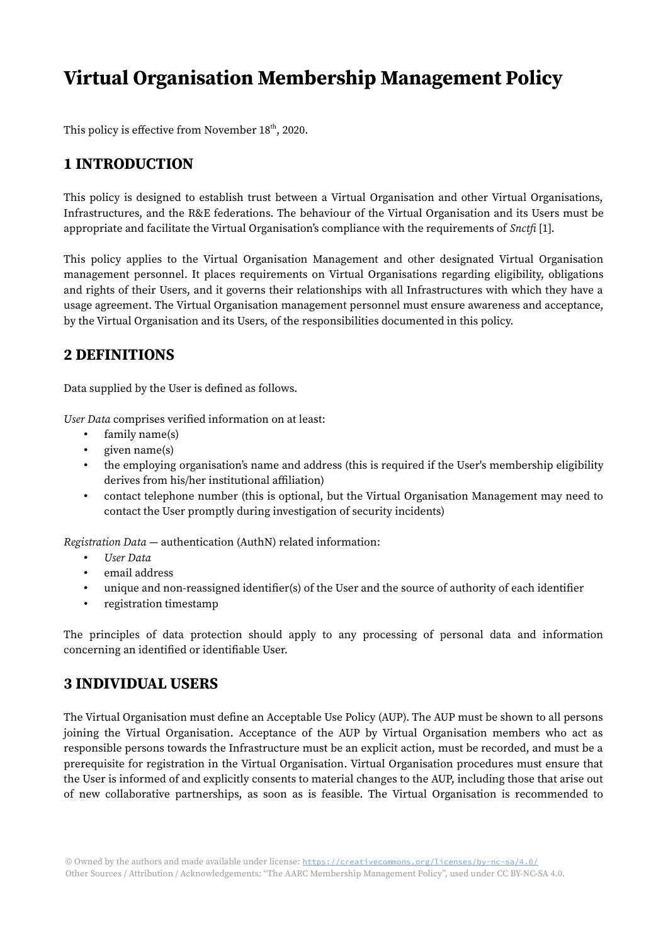# Virtual Organisation Membership Management Policy

This policy is effective from November  $18<sup>th</sup>$ , 2020.

# 1 INTRODUCTION

This policy is designed to establish trust between a Virtual Organisation and other Virtual Organisations, Infrastructures, and the R&E federations. The behaviour of the Virtual Organisation and its Users must be appropriate and facilitate the Virtual Organisation's compliance with the requirements of *Snctfi* [1].

This policy applies to the Virtual Organisation Management and other designated Virtual Organisation management personnel. It places requirements on Virtual Organisations regarding eligibility, obligations and rights of their Users, and it governs their relationships with all Infrastructures with which they have a usage agreement. The Virtual Organisation management personnel must ensure awareness and acceptance, by the Virtual Organisation and its Users, of the responsibilities documented in this policy.

## 2 DEFINITIONS

Data supplied by the User is defined as follows.

User Data comprises verified information on at least:

- family name(s)
- given name(s)
- the employing organisation's name and address (this is required if the User's membership eligibility derives from his/her institutional affiliation)
- contact telephone number (this is optional, but the Virtual Organisation Management may need to contact the User promptly during investigation of security incidents)

Registration Data — authentication (AuthN) related information:

- User Data
- email address
- unique and non-reassigned identifier(s) of the User and the source of authority of each identifier
- registration timestamp

The principles of data protection should apply to any processing of personal data and information concerning an identified or identifiable User.

## 3 INDIVIDUAL USERS

The Virtual Organisation must define an Acceptable Use Policy (AUP). The AUP must be shown to all persons joining the Virtual Organisation. Acceptance of the AUP by Virtual Organisation members who act as responsible persons towards the Infrastructure must be an explicit action, must be recorded, and must be a prerequisite for registration in the Virtual Organisation. Virtual Organisation procedures must ensure that the User is informed of and explicitly consents to material changes to the AUP, including those that arise out of new collaborative partnerships, as soon as is feasible. The Virtual Organisation is recommended to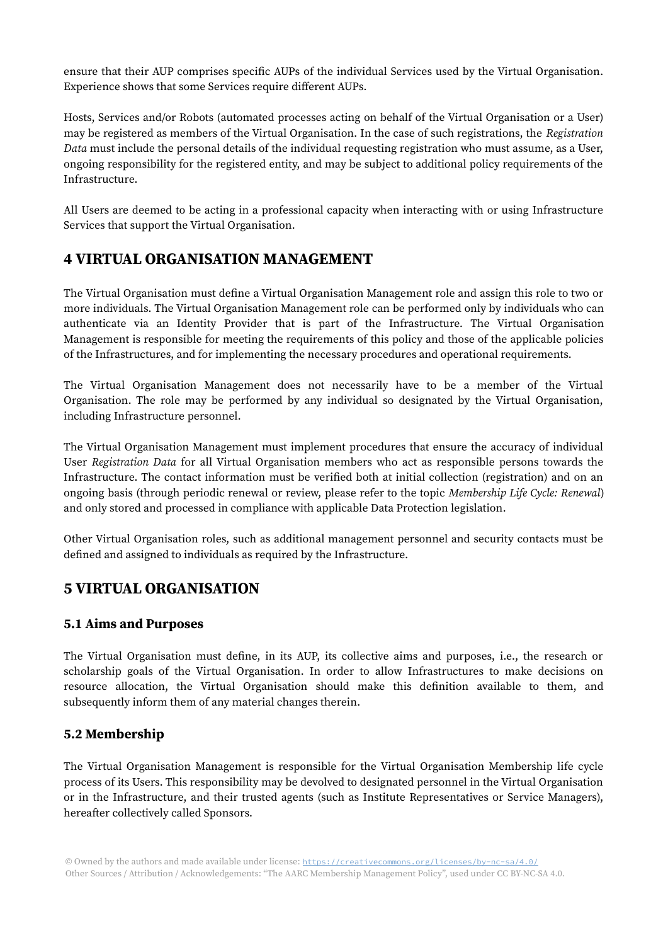ensure that their AUP comprises specific AUPs of the individual Services used by the Virtual Organisation. Experience shows that some Services require different AUPs.

Hosts, Services and/or Robots (automated processes acting on behalf of the Virtual Organisation or a User) may be registered as members of the Virtual Organisation. In the case of such registrations, the Registration Data must include the personal details of the individual requesting registration who must assume, as a User, ongoing responsibility for the registered entity, and may be subject to additional policy requirements of the Infrastructure.

All Users are deemed to be acting in a professional capacity when interacting with or using Infrastructure Services that support the Virtual Organisation.

## 4 VIRTUAL ORGANISATION MANAGEMENT

The Virtual Organisation must define a Virtual Organisation Management role and assign this role to two or more individuals. The Virtual Organisation Management role can be performed only by individuals who can authenticate via an Identity Provider that is part of the Infrastructure. The Virtual Organisation Management is responsible for meeting the requirements of this policy and those of the applicable policies of the Infrastructures, and for implementing the necessary procedures and operational requirements.

The Virtual Organisation Management does not necessarily have to be a member of the Virtual Organisation. The role may be performed by any individual so designated by the Virtual Organisation, including Infrastructure personnel.

The Virtual Organisation Management must implement procedures that ensure the accuracy of individual User Registration Data for all Virtual Organisation members who act as responsible persons towards the Infrastructure. The contact information must be verified both at initial collection (registration) and on an ongoing basis (through periodic renewal or review, please refer to the topic Membership Life Cycle: Renewal) and only stored and processed in compliance with applicable Data Protection legislation.

Other Virtual Organisation roles, such as additional management personnel and security contacts must be defined and assigned to individuals as required by the Infrastructure.

## 5 VIRTUAL ORGANISATION

#### 5.1 Aims and Purposes

The Virtual Organisation must define, in its AUP, its collective aims and purposes, i.e., the research or scholarship goals of the Virtual Organisation. In order to allow Infrastructures to make decisions on resource allocation, the Virtual Organisation should make this definition available to them, and subsequently inform them of any material changes therein.

#### 5.2 Membership

The Virtual Organisation Management is responsible for the Virtual Organisation Membership life cycle process of its Users. This responsibility may be devolved to designated personnel in the Virtual Organisation or in the Infrastructure, and their trusted agents (such as Institute Representatives or Service Managers), hereafter collectively called Sponsors.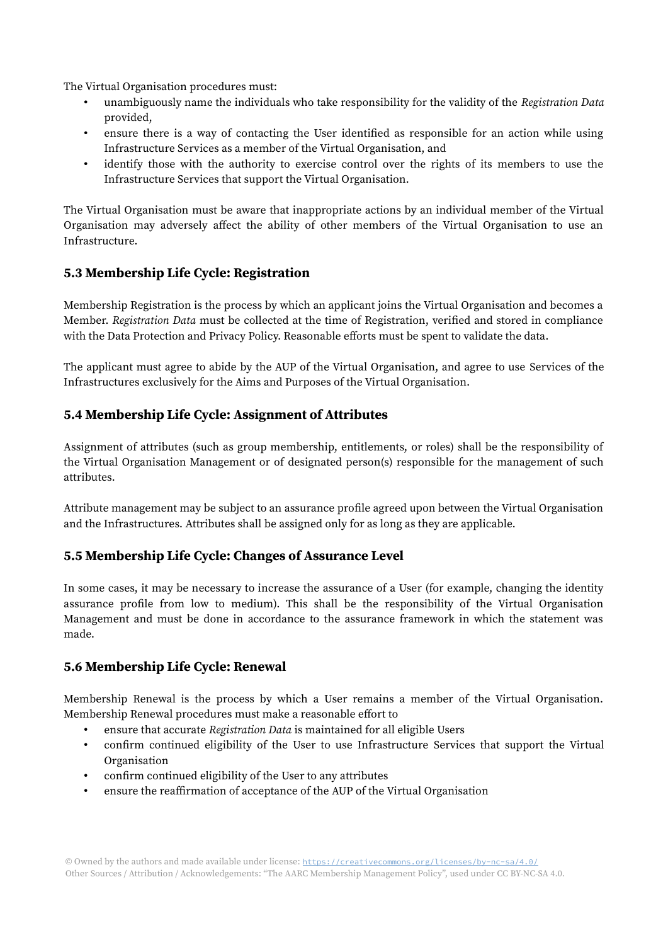The Virtual Organisation procedures must:

- unambiguously name the individuals who take responsibility for the validity of the Registration Data provided,
- ensure there is a way of contacting the User identified as responsible for an action while using Infrastructure Services as a member of the Virtual Organisation, and
- identify those with the authority to exercise control over the rights of its members to use the Infrastructure Services that support the Virtual Organisation.

The Virtual Organisation must be aware that inappropriate actions by an individual member of the Virtual Organisation may adversely affect the ability of other members of the Virtual Organisation to use an Infrastructure.

#### 5.3 Membership Life Cycle: Registration

Membership Registration is the process by which an applicant joins the Virtual Organisation and becomes a Member. Registration Data must be collected at the time of Registration, verified and stored in compliance with the Data Protection and Privacy Policy. Reasonable efforts must be spent to validate the data.

The applicant must agree to abide by the AUP of the Virtual Organisation, and agree to use Services of the Infrastructures exclusively for the Aims and Purposes of the Virtual Organisation.

#### 5.4 Membership Life Cycle: Assignment of Attributes

Assignment of attributes (such as group membership, entitlements, or roles) shall be the responsibility of the Virtual Organisation Management or of designated person(s) responsible for the management of such attributes.

Attribute management may be subject to an assurance profile agreed upon between the Virtual Organisation and the Infrastructures. Attributes shall be assigned only for as long as they are applicable.

#### 5.5 Membership Life Cycle: Changes of Assurance Level

In some cases, it may be necessary to increase the assurance of a User (for example, changing the identity assurance profile from low to medium). This shall be the responsibility of the Virtual Organisation Management and must be done in accordance to the assurance framework in which the statement was made.

#### 5.6 Membership Life Cycle: Renewal

Membership Renewal is the process by which a User remains a member of the Virtual Organisation. Membership Renewal procedures must make a reasonable effort to

- ensure that accurate Registration Data is maintained for all eligible Users
- confirm continued eligibility of the User to use Infrastructure Services that support the Virtual Organisation
- confirm continued eligibility of the User to any attributes
- ensure the reaffirmation of acceptance of the AUP of the Virtual Organisation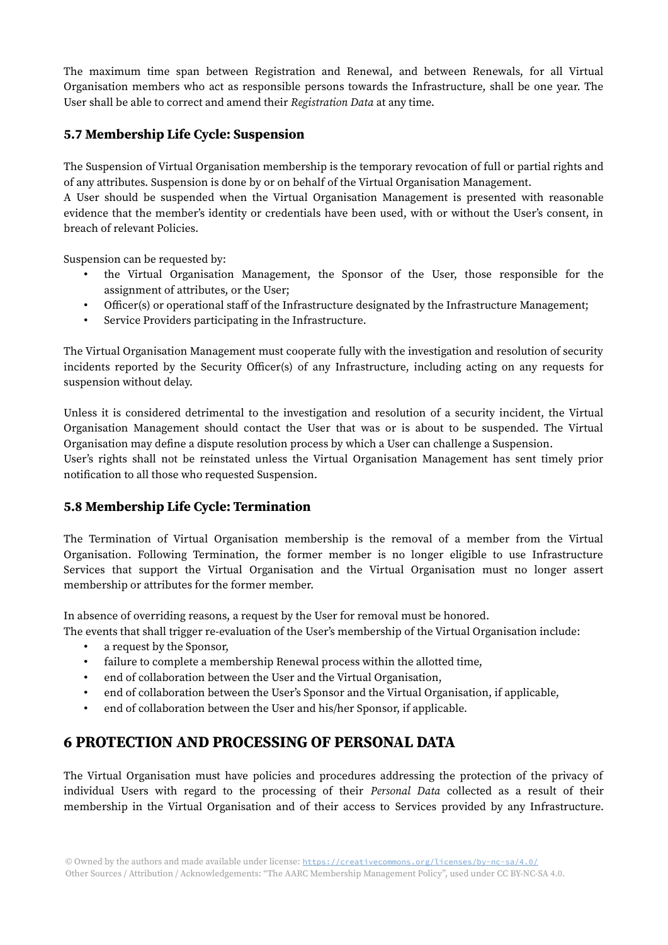The maximum time span between Registration and Renewal, and between Renewals, for all Virtual Organisation members who act as responsible persons towards the Infrastructure, shall be one year. The User shall be able to correct and amend their Registration Data at any time.

#### 5.7 Membership Life Cycle: Suspension

The Suspension of Virtual Organisation membership is the temporary revocation of full or partial rights and of any attributes. Suspension is done by or on behalf of the Virtual Organisation Management.

A User should be suspended when the Virtual Organisation Management is presented with reasonable evidence that the member's identity or credentials have been used, with or without the User's consent, in breach of relevant Policies.

Suspension can be requested by:

- the Virtual Organisation Management, the Sponsor of the User, those responsible for the assignment of attributes, or the User;
- Officer(s) or operational staff of the Infrastructure designated by the Infrastructure Management;
- Service Providers participating in the Infrastructure.

The Virtual Organisation Management must cooperate fully with the investigation and resolution of security incidents reported by the Security Officer(s) of any Infrastructure, including acting on any requests for suspension without delay.

Unless it is considered detrimental to the investigation and resolution of a security incident, the Virtual Organisation Management should contact the User that was or is about to be suspended. The Virtual Organisation may define a dispute resolution process by which a User can challenge a Suspension.

User's rights shall not be reinstated unless the Virtual Organisation Management has sent timely prior notification to all those who requested Suspension.

#### 5.8 Membership Life Cycle: Termination

The Termination of Virtual Organisation membership is the removal of a member from the Virtual Organisation. Following Termination, the former member is no longer eligible to use Infrastructure Services that support the Virtual Organisation and the Virtual Organisation must no longer assert membership or attributes for the former member.

In absence of overriding reasons, a request by the User for removal must be honored.

The events that shall trigger re-evaluation of the User's membership of the Virtual Organisation include:

- a request by the Sponsor,
- failure to complete a membership Renewal process within the allotted time,
- end of collaboration between the User and the Virtual Organisation,
- end of collaboration between the User's Sponsor and the Virtual Organisation, if applicable,
- end of collaboration between the User and his/her Sponsor, if applicable.

## 6 PROTECTION AND PROCESSING OF PERSONAL DATA

The Virtual Organisation must have policies and procedures addressing the protection of the privacy of individual Users with regard to the processing of their Personal Data collected as a result of their membership in the Virtual Organisation and of their access to Services provided by any Infrastructure.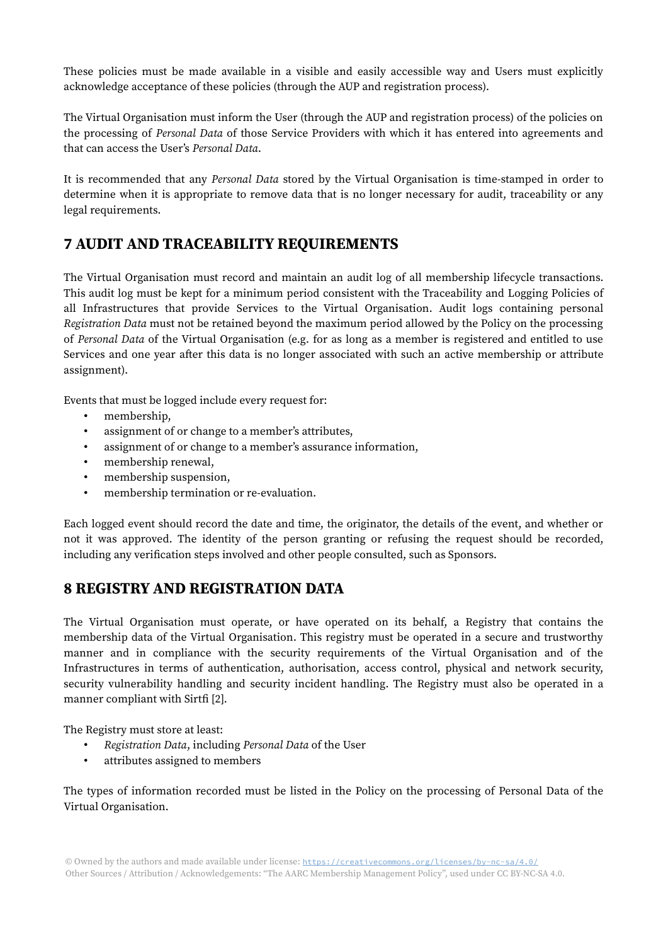These policies must be made available in a visible and easily accessible way and Users must explicitly acknowledge acceptance of these policies (through the AUP and registration process).

The Virtual Organisation must inform the User (through the AUP and registration process) of the policies on the processing of Personal Data of those Service Providers with which it has entered into agreements and that can access the User's Personal Data.

It is recommended that any Personal Data stored by the Virtual Organisation is time-stamped in order to determine when it is appropriate to remove data that is no longer necessary for audit, traceability or any legal requirements.

## 7 AUDIT AND TRACEABILITY REQUIREMENTS

The Virtual Organisation must record and maintain an audit log of all membership lifecycle transactions. This audit log must be kept for a minimum period consistent with the Traceability and Logging Policies of all Infrastructures that provide Services to the Virtual Organisation. Audit logs containing personal Registration Data must not be retained beyond the maximum period allowed by the Policy on the processing of Personal Data of the Virtual Organisation (e.g. for as long as a member is registered and entitled to use Services and one year after this data is no longer associated with such an active membership or attribute assignment).

Events that must be logged include every request for:

- membership,
- assignment of or change to a member's attributes,
- assignment of or change to a member's assurance information,
- membership renewal,
- membership suspension,
- membership termination or re-evaluation.

Each logged event should record the date and time, the originator, the details of the event, and whether or not it was approved. The identity of the person granting or refusing the request should be recorded, including any verification steps involved and other people consulted, such as Sponsors.

## 8 REGISTRY AND REGISTRATION DATA

The Virtual Organisation must operate, or have operated on its behalf, a Registry that contains the membership data of the Virtual Organisation. This registry must be operated in a secure and trustworthy manner and in compliance with the security requirements of the Virtual Organisation and of the Infrastructures in terms of authentication, authorisation, access control, physical and network security, security vulnerability handling and security incident handling. The Registry must also be operated in a manner compliant with Sirtfi [2].

The Registry must store at least:

- Registration Data, including Personal Data of the User
- attributes assigned to members

The types of information recorded must be listed in the Policy on the processing of Personal Data of the Virtual Organisation.